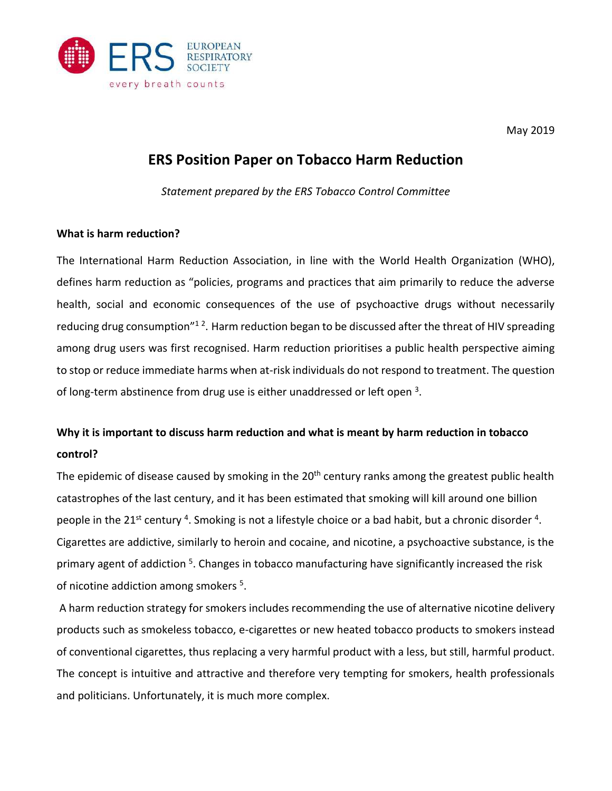

May 2019

## **ERS Position Paper on Tobacco Harm Reduction**

*Statement prepared by the ERS Tobacco Control Committee*

#### **What is harm reduction?**

The International Harm Reduction Association, in line with the World Health Organization (WHO), defines harm reduction as "policies, programs and practices that aim primarily to reduce the adverse health, social and economic consequences of the use of psychoactive drugs without necessarily reducing drug consumption"<sup>12</sup>. Harm reduction began to be discussed after the threat of HIV spreading among drug users was first recognised. Harm reduction prioritises a public health perspective aiming to stop or reduce immediate harms when at-risk individuals do not respond to treatment. The question of long-term abstinence from drug use is either unaddressed or left open <sup>3</sup>.

# **Why it is important to discuss harm reduction and what is meant by harm reduction in tobacco control?**

The epidemic of disease caused by smoking in the 20<sup>th</sup> century ranks among the greatest public health catastrophes of the last century, and it has been estimated that smoking will kill around one billion people in the 21<sup>st</sup> century <sup>4</sup>. Smoking is not a lifestyle choice or a bad habit, but a chronic disorder <sup>4</sup>. Cigarettes are addictive, similarly to heroin and cocaine, and nicotine, a psychoactive substance, is the primary agent of addiction <sup>5</sup>. Changes in tobacco manufacturing have significantly increased the risk of nicotine addiction among smokers<sup>5</sup>.

A harm reduction strategy for smokers includes recommending the use of alternative nicotine delivery products such as smokeless tobacco, e-cigarettes or new heated tobacco products to smokers instead of conventional cigarettes, thus replacing a very harmful product with a less, but still, harmful product. The concept is intuitive and attractive and therefore very tempting for smokers, health professionals and politicians. Unfortunately, it is much more complex.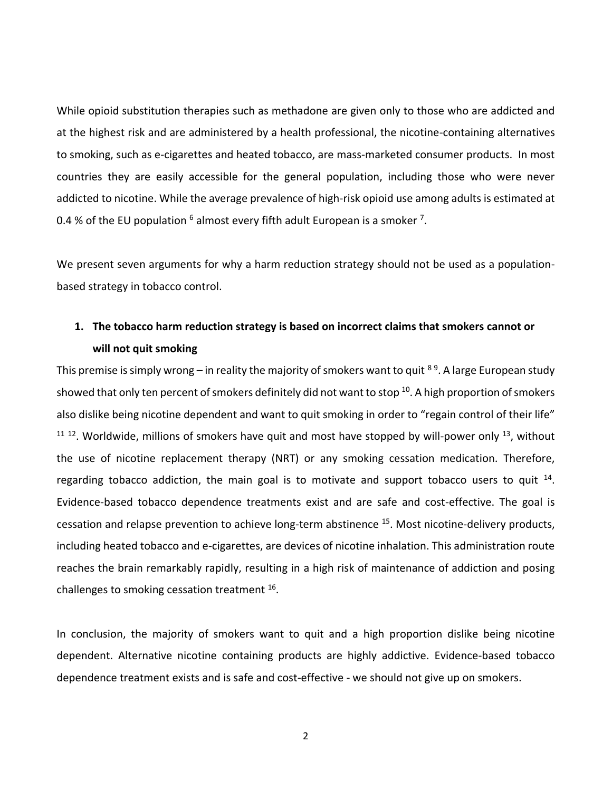While opioid substitution therapies such as methadone are given only to those who are addicted and at the highest risk and are administered by a health professional, the nicotine-containing alternatives to smoking, such as e-cigarettes and heated tobacco, are mass-marketed consumer products. In most countries they are easily accessible for the general population, including those who were never addicted to nicotine. While the average prevalence of high-risk opioid use among adults is estimated at 0.4 % of the EU population  $^6$  almost every fifth adult European is a smoker <sup>7</sup>.

We present seven arguments for why a harm reduction strategy should not be used as a populationbased strategy in tobacco control.

## **1. The tobacco harm reduction strategy is based on incorrect claims that smokers cannot or will not quit smoking**

This premise is simply wrong – in reality the majority of smokers want to quit <sup>89</sup>. A large European study showed that only ten percent of smokers definitely did not want to stop  $^{10}$ . A high proportion of smokers also dislike being nicotine dependent and want to quit smoking in order to "regain control of their life"  $11$  12. Worldwide, millions of smokers have quit and most have stopped by will-power only  $13$ , without the use of nicotine replacement therapy (NRT) or any smoking cessation medication. Therefore, regarding tobacco addiction, the main goal is to motivate and support tobacco users to quit  $^{14}$ . Evidence-based tobacco dependence treatments exist and are safe and cost-effective. The goal is cessation and relapse prevention to achieve long-term abstinence <sup>15</sup>. Most nicotine-delivery products, including heated tobacco and e-cigarettes, are devices of nicotine inhalation. This administration route reaches the brain remarkably rapidly, resulting in a high risk of maintenance of addiction and posing challenges to smoking cessation treatment <sup>16</sup>.

In conclusion, the majority of smokers want to quit and a high proportion dislike being nicotine dependent. Alternative nicotine containing products are highly addictive. Evidence-based tobacco dependence treatment exists and is safe and cost-effective - we should not give up on smokers.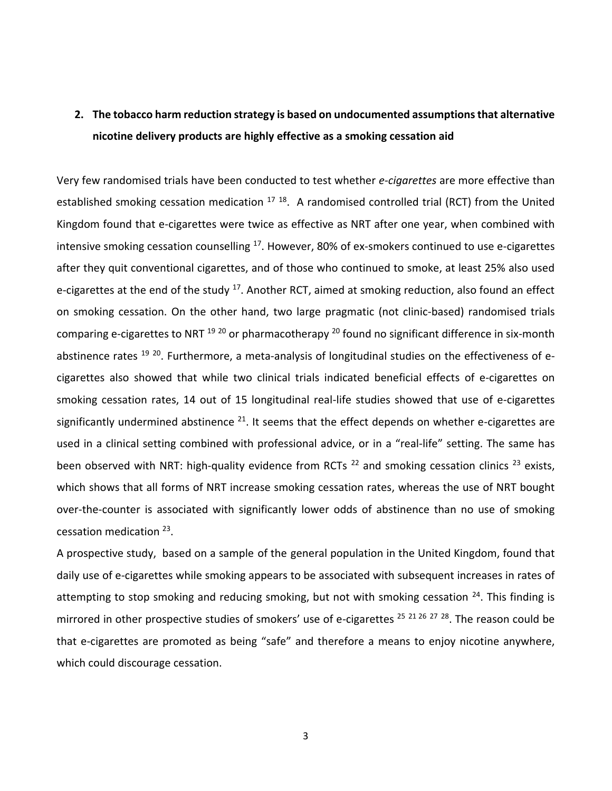# **2. The tobacco harm reduction strategy is based on undocumented assumptions that alternative nicotine delivery products are highly effective as a smoking cessation aid**

Very few randomised trials have been conducted to test whether *e-cigarettes* are more effective than established smoking cessation medication <sup>17 18</sup>. A randomised controlled trial (RCT) from the United Kingdom found that e-cigarettes were twice as effective as NRT after one year, when combined with intensive smoking cessation counselling <sup>17</sup>. However, 80% of ex-smokers continued to use e-cigarettes after they quit conventional cigarettes, and of those who continued to smoke, at least 25% also used e-cigarettes at the end of the study  $^{17}$ . Another RCT, aimed at smoking reduction, also found an effect on smoking cessation. On the other hand, two large pragmatic (not clinic-based) randomised trials comparing e-cigarettes to NRT  $^{19}$   $^{20}$  or pharmacotherapy  $^{20}$  found no significant difference in six-month abstinence rates <sup>19 20</sup>. Furthermore, a meta-analysis of longitudinal studies on the effectiveness of ecigarettes also showed that while two clinical trials indicated beneficial effects of e-cigarettes on smoking cessation rates, 14 out of 15 longitudinal real-life studies showed that use of e-cigarettes significantly undermined abstinence  $^{21}$ . It seems that the effect depends on whether e-cigarettes are used in a clinical setting combined with professional advice, or in a "real-life" setting. The same has been observed with NRT: high-quality evidence from RCTs  $^{22}$  and smoking cessation clinics  $^{23}$  exists, which shows that all forms of NRT increase smoking cessation rates, whereas the use of NRT bought over-the-counter is associated with significantly lower odds of abstinence than no use of smoking cessation medication <sup>23</sup>.

A prospective study, based on a sample of the general population in the United Kingdom, found that daily use of e-cigarettes while smoking appears to be associated with subsequent increases in rates of attempting to stop smoking and reducing smoking, but not with smoking cessation  $24$ . This finding is mirrored in other prospective studies of smokers' use of e-cigarettes <sup>25 21 26 27 28</sup>. The reason could be that e-cigarettes are promoted as being "safe" and therefore a means to enjoy nicotine anywhere, which could discourage cessation.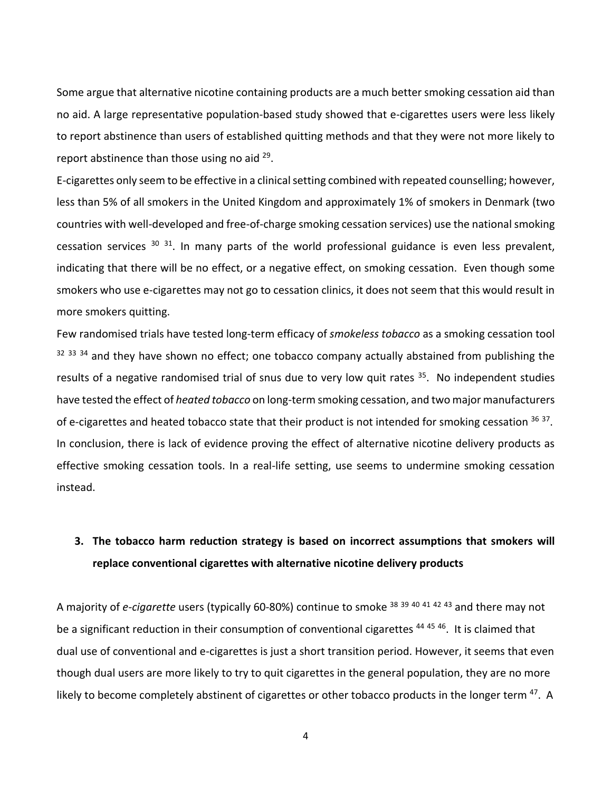Some argue that alternative nicotine containing products are a much better smoking cessation aid than no aid. A large representative population-based study showed that e-cigarettes users were less likely to report abstinence than users of established quitting methods and that they were not more likely to report abstinence than those using no aid  $^{29}$ .

E-cigarettes only seem to be effective in a clinical setting combined with repeated counselling; however, less than 5% of all smokers in the United Kingdom and approximately 1% of smokers in Denmark (two countries with well-developed and free-of-charge smoking cessation services) use the national smoking cessation services  $30\,31$ . In many parts of the world professional guidance is even less prevalent, indicating that there will be no effect, or a negative effect, on smoking cessation. Even though some smokers who use e-cigarettes may not go to cessation clinics, it does not seem that this would result in more smokers quitting.

Few randomised trials have tested long-term efficacy of *smokeless tobacco* as a smoking cessation tool <sup>32 33 34</sup> and they have shown no effect; one tobacco company actually abstained from publishing the results of a negative randomised trial of snus due to very low quit rates  $35$ . No independent studies have tested the effect of *heated tobacco* on long-term smoking cessation, and two major manufacturers of e-cigarettes and heated tobacco state that their product is not intended for smoking cessation <sup>36 37</sup>. In conclusion, there is lack of evidence proving the effect of alternative nicotine delivery products as effective smoking cessation tools. In a real-life setting, use seems to undermine smoking cessation instead.

#### **3. The tobacco harm reduction strategy is based on incorrect assumptions that smokers will replace conventional cigarettes with alternative nicotine delivery products**

A majority of *e-cigarette* users (typically 60-80%) continue to smoke <sup>38</sup> <sup>39</sup> <sup>40</sup> <sup>41</sup> <sup>42</sup> <sup>43</sup> and there may not be a significant reduction in their consumption of conventional cigarettes <sup>44 45 46</sup>. It is claimed that dual use of conventional and e-cigarettes is just a short transition period. However, it seems that even though dual users are more likely to try to quit cigarettes in the general population, they are no more likely to become completely abstinent of cigarettes or other tobacco products in the longer term <sup>47</sup>. A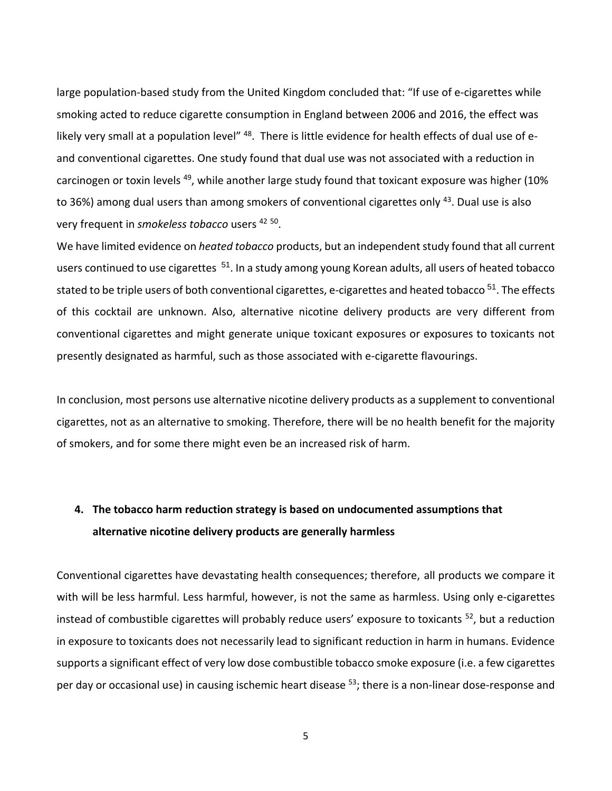large population-based study from the United Kingdom concluded that: "If use of e-cigarettes while smoking acted to reduce cigarette consumption in England between 2006 and 2016, the effect was likely very small at a population level" <sup>48</sup>. There is little evidence for health effects of dual use of eand conventional cigarettes. One study found that dual use was not associated with a reduction in carcinogen or toxin levels <sup>49</sup>, while another large study found that toxicant exposure was higher (10% to 36%) among dual users than among smokers of conventional cigarettes only <sup>43</sup>. Dual use is also very frequent in *smokeless tobacco* users <sup>42</sup> <sup>50</sup> .

We have limited evidence on *heated tobacco* products, but an independent study found that all current users continued to use cigarettes <sup>51</sup>. In a study among young Korean adults, all users of heated tobacco stated to be triple users of both conventional cigarettes, e-cigarettes and heated tobacco<sup>51</sup>. The effects of this cocktail are unknown. Also, alternative nicotine delivery products are very different from conventional cigarettes and might generate unique toxicant exposures or exposures to toxicants not presently designated as harmful, such as those associated with e-cigarette flavourings.

In conclusion, most persons use alternative nicotine delivery products as a supplement to conventional cigarettes, not as an alternative to smoking. Therefore, there will be no health benefit for the majority of smokers, and for some there might even be an increased risk of harm.

# **4. The tobacco harm reduction strategy is based on undocumented assumptions that alternative nicotine delivery products are generally harmless**

Conventional cigarettes have devastating health consequences; therefore, all products we compare it with will be less harmful. Less harmful, however, is not the same as harmless. Using only e-cigarettes instead of combustible cigarettes will probably reduce users' exposure to toxicants <sup>52</sup>, but a reduction in exposure to toxicants does not necessarily lead to significant reduction in harm in humans. Evidence supports a significant effect of very low dose combustible tobacco smoke exposure (i.e. a few cigarettes per day or occasional use) in causing ischemic heart disease <sup>53</sup>; there is a non-linear dose-response and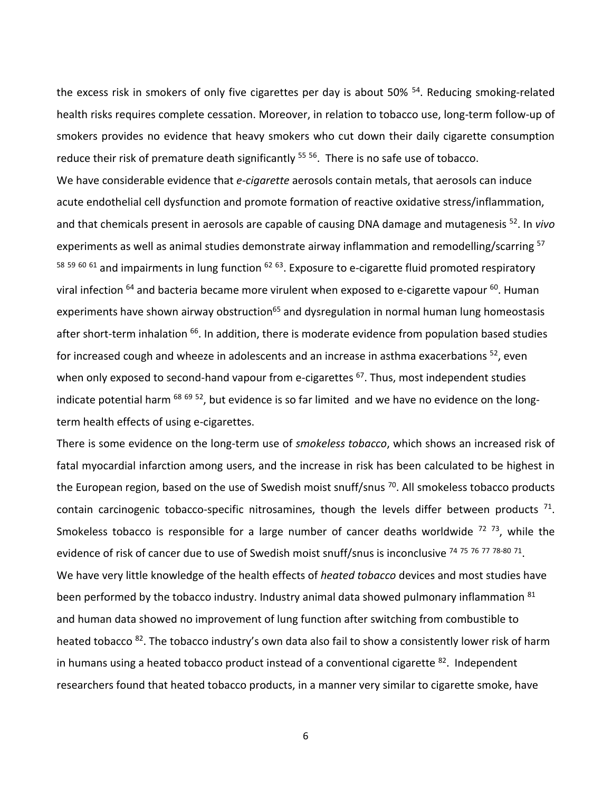the excess risk in smokers of only five cigarettes per day is about 50% <sup>54</sup>. Reducing smoking-related health risks requires complete cessation. Moreover, in relation to tobacco use, long-term follow-up of smokers provides no evidence that heavy smokers who cut down their daily cigarette consumption reduce their risk of premature death significantly <sup>55 56</sup>. There is no safe use of tobacco. We have considerable evidence that *e-cigarette* aerosols contain metals, that aerosols can induce acute endothelial cell dysfunction and promote formation of reactive oxidative stress/inflammation, and that chemicals present in aerosols are capable of causing DNA damage and mutagenesis <sup>52</sup>. In *vivo* experiments as well as animal studies demonstrate airway inflammation and remodelling/scarring <sup>57</sup>  $58$   $59$   $60$   $61$  and impairments in lung function  $62$   $63$ . Exposure to e-cigarette fluid promoted respiratory viral infection  $64$  and bacteria became more virulent when exposed to e-cigarette vapour  $60$ . Human experiments have shown airway obstruction<sup>65</sup> and dysregulation in normal human lung homeostasis after short-term inhalation <sup>66</sup>. In addition, there is moderate evidence from population based studies for increased cough and wheeze in adolescents and an increase in asthma exacerbations  $52$ , even when only exposed to second-hand vapour from e-cigarettes <sup>67</sup>. Thus, most independent studies indicate potential harm <sup>68 69 52</sup>, but evidence is so far limited and we have no evidence on the longterm health effects of using e-cigarettes.

There is some evidence on the long-term use of *smokeless tobacco*, which shows an increased risk of fatal myocardial infarction among users, and the increase in risk has been calculated to be highest in the European region, based on the use of Swedish moist snuff/snus <sup>70</sup>. All smokeless tobacco products contain carcinogenic tobacco-specific nitrosamines, though the levels differ between products  $71$ . Smokeless tobacco is responsible for a large number of cancer deaths worldwide <sup>72 73</sup>, while the evidence of risk of cancer due to use of Swedish moist snuff/snus is inconclusive <sup>74 75 76 77 78-80 71</sup>. We have very little knowledge of the health effects of *heated tobacco* devices and most studies have been performed by the tobacco industry. Industry animal data showed pulmonary inflammation 81 and human data showed no improvement of lung function after switching from combustible to heated tobacco <sup>82</sup>. The tobacco industry's own data also fail to show a consistently lower risk of harm in humans using a heated tobacco product instead of a conventional cigarette <sup>82</sup>. Independent researchers found that heated tobacco products, in a manner very similar to cigarette smoke, have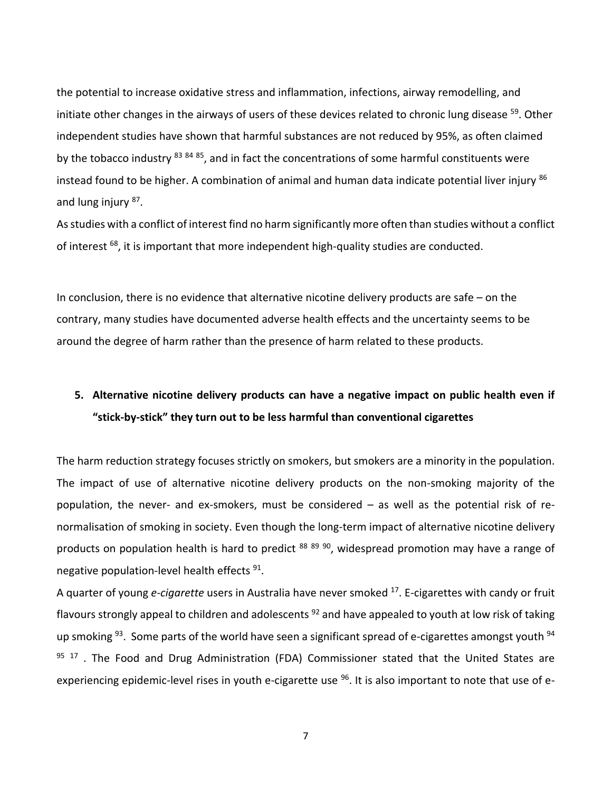the potential to increase oxidative stress and inflammation, infections, airway remodelling, and initiate other changes in the airways of users of these devices related to chronic lung disease <sup>59</sup>. Other independent studies have shown that harmful substances are not reduced by 95%, as often claimed by the tobacco industry <sup>83 84 85</sup>, and in fact the concentrations of some harmful constituents were instead found to be higher. A combination of animal and human data indicate potential liver injury 86 and lung injury <sup>87</sup>.

As studies with a conflict of interest find no harm significantly more often than studies without a conflict of interest <sup>68</sup>, it is important that more independent high-quality studies are conducted.

In conclusion, there is no evidence that alternative nicotine delivery products are safe – on the contrary, many studies have documented adverse health effects and the uncertainty seems to be around the degree of harm rather than the presence of harm related to these products.

# **5. Alternative nicotine delivery products can have a negative impact on public health even if "stick-by-stick" they turn out to be less harmful than conventional cigarettes**

The harm reduction strategy focuses strictly on smokers, but smokers are a minority in the population. The impact of use of alternative nicotine delivery products on the non-smoking majority of the population, the never- and ex-smokers, must be considered – as well as the potential risk of renormalisation of smoking in society. Even though the long-term impact of alternative nicotine delivery products on population health is hard to predict 88 89 90, widespread promotion may have a range of negative population-level health effects <sup>91</sup>.

A quarter of young *e-cigarette* users in Australia have never smoked <sup>17</sup>. E-cigarettes with candy or fruit flavours strongly appeal to children and adolescents <sup>92</sup> and have appealed to youth at low risk of taking up smoking <sup>93</sup>. Some parts of the world have seen a significant spread of e-cigarettes amongst youth <sup>94</sup>  $95$   $17$ . The Food and Drug Administration (FDA) Commissioner stated that the United States are experiencing epidemic-level rises in youth e-cigarette use <sup>96</sup>. It is also important to note that use of e-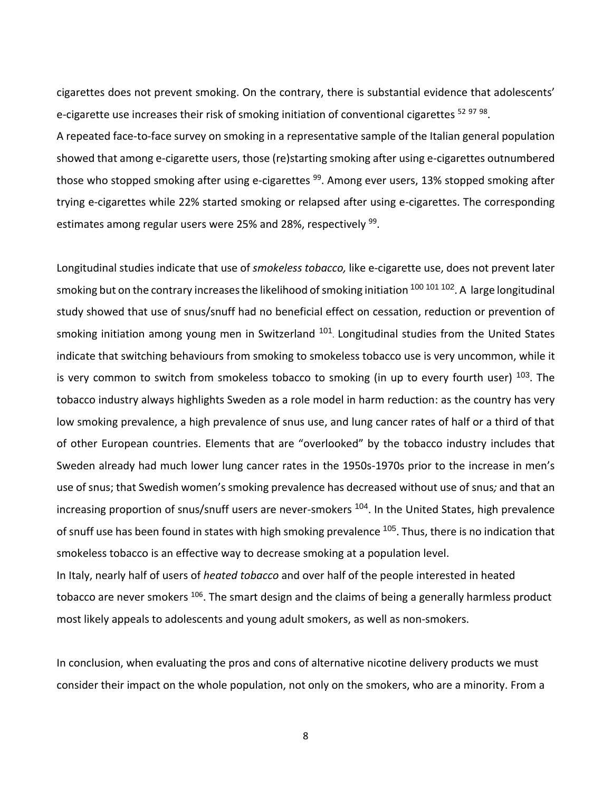cigarettes does not prevent smoking. On the contrary, there is substantial evidence that adolescents' e-cigarette use increases their risk of smoking initiation of conventional cigarettes <sup>52 97 98</sup>.

A repeated face-to-face survey on smoking in a representative sample of the Italian general population showed that among e-cigarette users, those (re)starting smoking after using e-cigarettes outnumbered those who stopped smoking after using e-cigarettes <sup>99</sup>. Among ever users, 13% stopped smoking after trying e-cigarettes while 22% started smoking or relapsed after using e-cigarettes. The corresponding estimates among regular users were 25% and 28%, respectively <sup>99</sup>.

Longitudinal studies indicate that use of *smokeless tobacco,* like e-cigarette use, does not prevent later smoking but on the contrary increases the likelihood of smoking initiation <sup>100 101</sup> 10<sup>2</sup>. A large longitudinal study showed that use of snus/snuff had no beneficial effect on cessation, reduction or prevention of smoking initiation among young men in Switzerland <sup>101</sup>. Longitudinal studies from the United States indicate that switching behaviours from smoking to smokeless tobacco use is very uncommon, while it is very common to switch from smokeless tobacco to smoking (in up to every fourth user) <sup>103</sup>. The tobacco industry always highlights Sweden as a role model in harm reduction: as the country has very low smoking prevalence, a high prevalence of snus use, and lung cancer rates of half or a third of that of other European countries. Elements that are "overlooked" by the tobacco industry includes that Sweden already had much lower lung cancer rates in the 1950s-1970s prior to the increase in men's use of snus; that Swedish women's smoking prevalence has decreased without use of snus*;* and that an increasing proportion of snus/snuff users are never-smokers <sup>104</sup>. In the United States, high prevalence of snuff use has been found in states with high smoking prevalence <sup>105</sup>. Thus, there is no indication that smokeless tobacco is an effective way to decrease smoking at a population level. In Italy, nearly half of users of *heated tobacco* and over half of the people interested in heated

tobacco are never smokers <sup>106</sup>. The smart design and the claims of being a generally harmless product most likely appeals to adolescents and young adult smokers, as well as non-smokers.

In conclusion, when evaluating the pros and cons of alternative nicotine delivery products we must consider their impact on the whole population, not only on the smokers, who are a minority. From a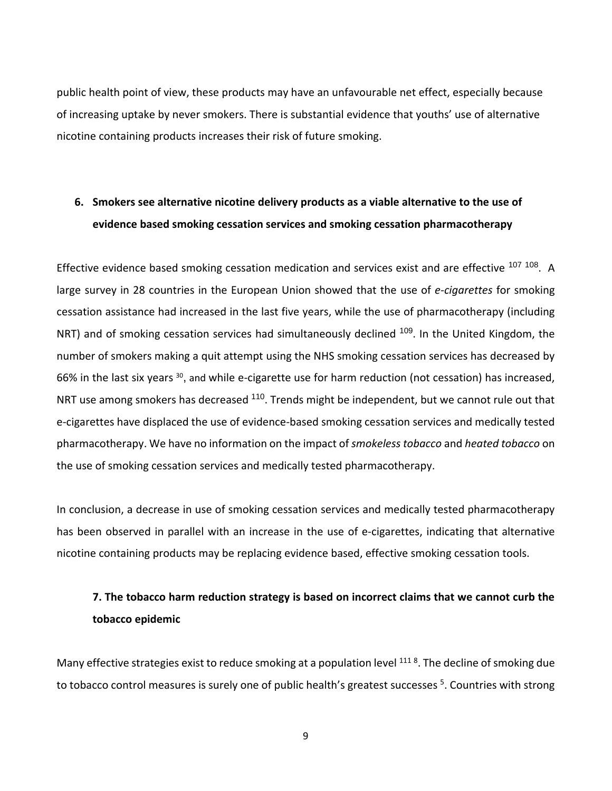public health point of view, these products may have an unfavourable net effect, especially because of increasing uptake by never smokers. There is substantial evidence that youths' use of alternative nicotine containing products increases their risk of future smoking.

## **6. Smokers see alternative nicotine delivery products as a viable alternative to the use of evidence based smoking cessation services and smoking cessation pharmacotherapy**

Effective evidence based smoking cessation medication and services exist and are effective <sup>107 108</sup>. A large survey in 28 countries in the European Union showed that the use of *e-cigarettes* for smoking cessation assistance had increased in the last five years, while the use of pharmacotherapy (including NRT) and of smoking cessation services had simultaneously declined <sup>109</sup>. In the United Kingdom, the number of smokers making a quit attempt using the NHS smoking cessation services has decreased by 66% in the last six years <sup>30</sup>, and while e-cigarette use for harm reduction (not cessation) has increased, NRT use among smokers has decreased <sup>110</sup>. Trends might be independent, but we cannot rule out that e-cigarettes have displaced the use of evidence-based smoking cessation services and medically tested pharmacotherapy. We have no information on the impact of *smokeless tobacco* and *heated tobacco* on the use of smoking cessation services and medically tested pharmacotherapy.

In conclusion, a decrease in use of smoking cessation services and medically tested pharmacotherapy has been observed in parallel with an increase in the use of e-cigarettes, indicating that alternative nicotine containing products may be replacing evidence based, effective smoking cessation tools.

## **7. The tobacco harm reduction strategy is based on incorrect claims that we cannot curb the tobacco epidemic**

Many effective strategies exist to reduce smoking at a population level <sup>111 8</sup>. The decline of smoking due to tobacco control measures is surely one of public health's greatest successes <sup>5</sup>. Countries with strong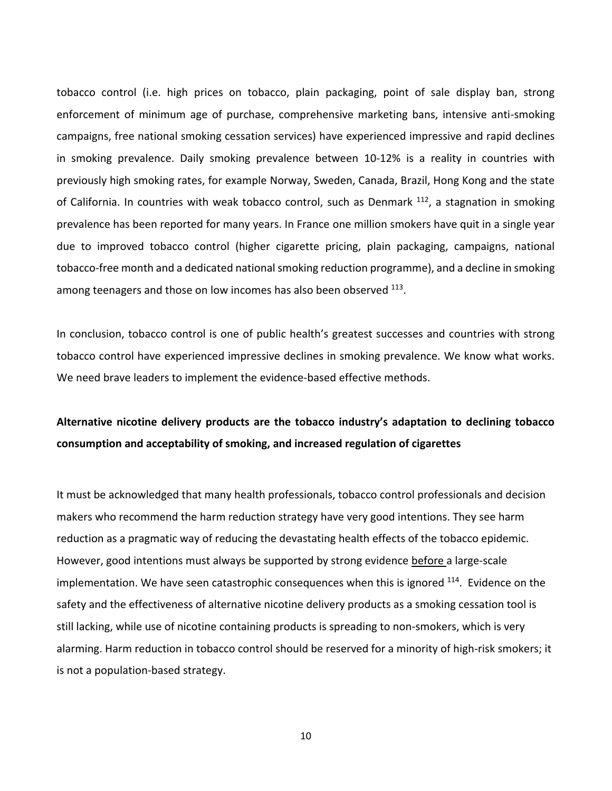tobacco control (i.e. high prices on tobacco, plain packaging, point of sale display ban, strong enforcement of minimum age of purchase, comprehensive marketing bans, intensive anti-smoking campaigns, free national smoking cessation services) have experienced impressive and rapid declines in smoking prevalence. Daily smoking prevalence between 10-12% is a reality in countries with previously high smoking rates, for example Norway, Sweden, Canada, Brazil, Hong Kong and the state of California. In countries with weak tobacco control, such as Denmark <sup>112</sup>, a stagnation in smoking prevalence has been reported for many years. In France one million smokers have quit in a single year due to improved tobacco control (higher cigarette pricing, plain packaging, campaigns, national tobacco-free month and a dedicated national smoking reduction programme), and a decline in smoking among teenagers and those on low incomes has also been observed <sup>113</sup>.

In conclusion, tobacco control is one of public health's greatest successes and countries with strong tobacco control have experienced impressive declines in smoking prevalence. We know what works. We need brave leaders to implement the evidence-based effective methods.

#### **Alternative nicotine delivery products are the tobacco industry's adaptation to declining tobacco consumption and acceptability of smoking, and increased regulation of cigarettes**

It must be acknowledged that many health professionals, tobacco control professionals and decision makers who recommend the harm reduction strategy have very good intentions. They see harm reduction as a pragmatic way of reducing the devastating health effects of the tobacco epidemic. However, good intentions must always be supported by strong evidence before a large-scale implementation. We have seen catastrophic consequences when this is ignored  $^{114}$ . Evidence on the safety and the effectiveness of alternative nicotine delivery products as a smoking cessation tool is still lacking, while use of nicotine containing products is spreading to non-smokers, which is very alarming. Harm reduction in tobacco control should be reserved for a minority of high-risk smokers; it is not a population-based strategy.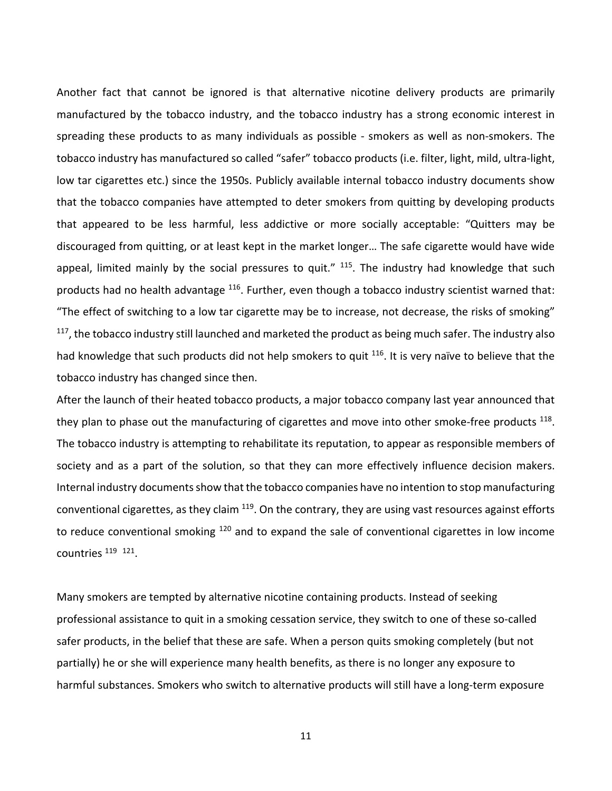Another fact that cannot be ignored is that alternative nicotine delivery products are primarily manufactured by the tobacco industry, and the tobacco industry has a strong economic interest in spreading these products to as many individuals as possible - smokers as well as non-smokers. The tobacco industry has manufactured so called "safer" tobacco products (i.e. filter, light, mild, ultra-light, low tar cigarettes etc.) since the 1950s. Publicly available internal tobacco industry documents show that the tobacco companies have attempted to deter smokers from quitting by developing products that appeared to be less harmful, less addictive or more socially acceptable: "Quitters may be discouraged from quitting, or at least kept in the market longer… The safe cigarette would have wide appeal, limited mainly by the social pressures to quit." <sup>115</sup>. The industry had knowledge that such products had no health advantage <sup>116</sup>. Further, even though a tobacco industry scientist warned that: "The effect of switching to a low tar cigarette may be to increase, not decrease, the risks of smoking"  $117$ , the tobacco industry still launched and marketed the product as being much safer. The industry also had knowledge that such products did not help smokers to quit <sup>116</sup>. It is very naïve to believe that the tobacco industry has changed since then.

After the launch of their heated tobacco products, a major tobacco company last year announced that they plan to phase out the manufacturing of cigarettes and move into other smoke-free products <sup>118</sup>. The tobacco industry is attempting to rehabilitate its reputation, to appear as responsible members of society and as a part of the solution, so that they can more effectively influence decision makers. Internal industry documents show that the tobacco companies have no intention to stop manufacturing conventional cigarettes, as they claim  $119$ . On the contrary, they are using vast resources against efforts to reduce conventional smoking <sup>120</sup> and to expand the sale of conventional cigarettes in low income countries <sup>119</sup><sup>121</sup>.

Many smokers are tempted by alternative nicotine containing products. Instead of seeking professional assistance to quit in a smoking cessation service, they switch to one of these so-called safer products, in the belief that these are safe. When a person quits smoking completely (but not partially) he or she will experience many health benefits, as there is no longer any exposure to harmful substances. Smokers who switch to alternative products will still have a long-term exposure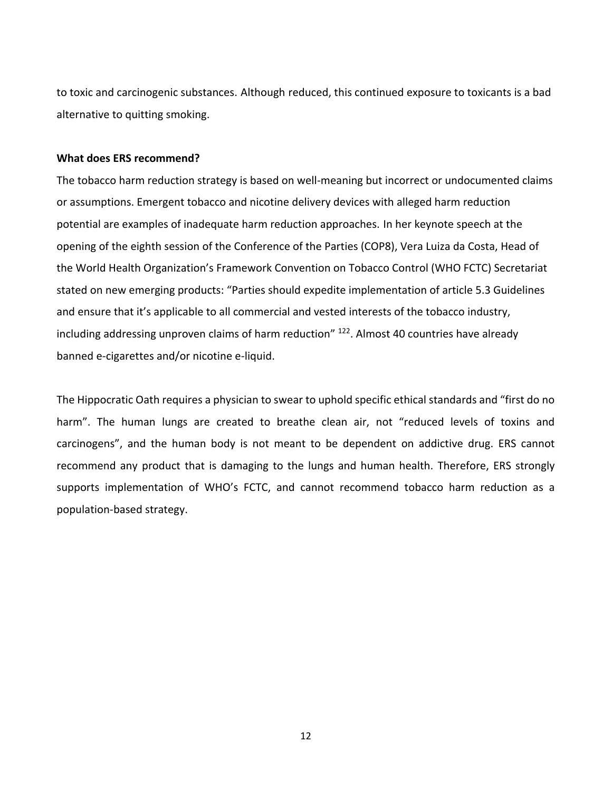to toxic and carcinogenic substances. Although reduced, this continued exposure to toxicants is a bad alternative to quitting smoking.

#### **What does ERS recommend?**

The tobacco harm reduction strategy is based on well-meaning but incorrect or undocumented claims or assumptions. Emergent tobacco and nicotine delivery devices with alleged harm reduction potential are examples of inadequate harm reduction approaches. In her keynote speech at the opening of the eighth session of the Conference of the Parties (COP8), Vera Luiza da Costa, Head of the World Health Organization's Framework Convention on Tobacco Control (WHO FCTC) Secretariat stated on new emerging products: "Parties should expedite implementation of article 5.3 Guidelines and ensure that it's applicable to all commercial and vested interests of the tobacco industry, including addressing unproven claims of harm reduction"  $122$ . Almost 40 countries have already banned e-cigarettes and/or nicotine e-liquid.

The Hippocratic Oath requires a physician to swear to uphold specific ethical standards and "first do no harm". The human lungs are created to breathe clean air, not "reduced levels of toxins and carcinogens", and the human body is not meant to be dependent on addictive drug. ERS cannot recommend any product that is damaging to the lungs and human health. Therefore, ERS strongly supports implementation of WHO's FCTC, and cannot recommend tobacco harm reduction as a population-based strategy.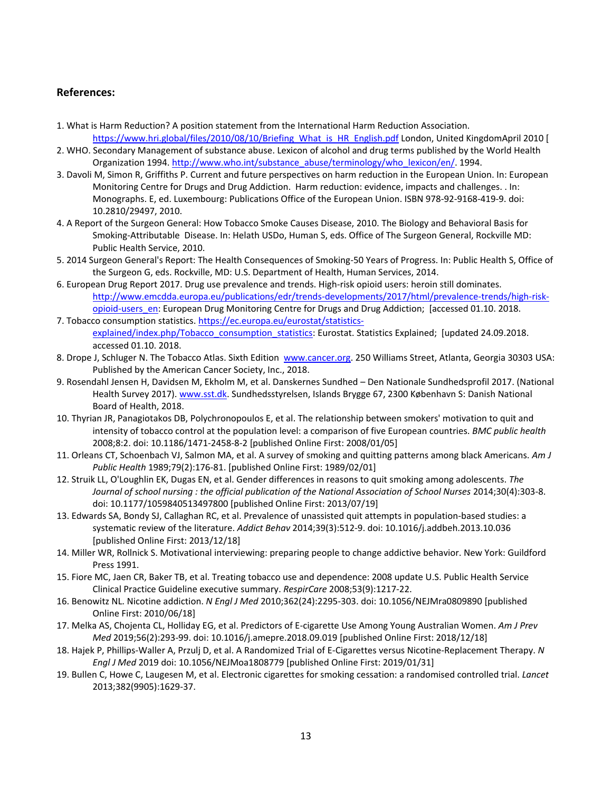#### **References:**

- 1. What is Harm Reduction? A position statement from the International Harm Reduction Association. [https://www.hri.global/files/2010/08/10/Briefing\\_What\\_is\\_HR\\_English.pdf](https://www.hri.global/files/2010/08/10/Briefing_What_is_HR_English.pdf) London, United KingdomApril 2010 [
- 2. WHO. Secondary Management of substance abuse. Lexicon of alcohol and drug terms published by the World Health Organization 1994. [http://www.who.int/substance\\_abuse/terminology/who\\_lexicon/en/.](http://www.who.int/substance_abuse/terminology/who_lexicon/en/) 1994.
- 3. Davoli M, Simon R, Griffiths P. Current and future perspectives on harm reduction in the European Union. In: European Monitoring Centre for Drugs and Drug Addiction. Harm reduction: evidence, impacts and challenges. . In: Monographs. E, ed. Luxembourg: Publications Office of the European Union. ISBN 978-92-9168-419-9. doi: 10.2810/29497, 2010.
- 4. A Report of the Surgeon General: How Tobacco Smoke Causes Disease, 2010. The Biology and Behavioral Basis for Smoking-Attributable Disease. In: Helath USDo, Human S, eds. Office of The Surgeon General, Rockville MD: Public Health Service, 2010.
- 5. 2014 Surgeon General's Report: The Health Consequences of Smoking-50 Years of Progress. In: Public Health S, Office of the Surgeon G, eds. Rockville, MD: U.S. Department of Health, Human Services, 2014.
- 6. European Drug Report 2017. Drug use prevalence and trends. High-risk opioid users: heroin still dominates. [http://www.emcdda.europa.eu/publications/edr/trends-developments/2017/html/prevalence-trends/high-risk](http://www.emcdda.europa.eu/publications/edr/trends-developments/2017/html/prevalence-trends/high-risk-opioid-users_en)[opioid-users\\_en:](http://www.emcdda.europa.eu/publications/edr/trends-developments/2017/html/prevalence-trends/high-risk-opioid-users_en) European Drug Monitoring Centre for Drugs and Drug Addiction; [accessed 01.10. 2018. 7. Tobacco consumption statistics[. https://ec.europa.eu/eurostat/statistics-](https://ec.europa.eu/eurostat/statistics-explained/index.php/Tobacco_consumption_statistics)
- [explained/index.php/Tobacco\\_consumption\\_statistics:](https://ec.europa.eu/eurostat/statistics-explained/index.php/Tobacco_consumption_statistics) Eurostat. Statistics Explained; [updated 24.09.2018. accessed 01.10. 2018.
- 8. Drope J, Schluger N. The Tobacco Atlas. Sixth Edition [www.cancer.org.](file:///C:/Users/bmaguire/AppData/Local/Microsoft/Windows/INetCache/Content.Outlook/L6IGRTDG/www.cancer.org) 250 Williams Street, Atlanta, Georgia 30303 USA: Published by the American Cancer Society, Inc., 2018.
- 9. Rosendahl Jensen H, Davidsen M, Ekholm M, et al. Danskernes Sundhed Den Nationale Sundhedsprofil 2017. (National Health Survey 2017)[. www.sst.dk.](file:///C:/Users/bmaguire/AppData/Local/Microsoft/Windows/INetCache/Content.Outlook/L6IGRTDG/www.sst.dk) Sundhedsstyrelsen, Islands Brygge 67, 2300 København S: Danish National Board of Health, 2018.
- 10. Thyrian JR, Panagiotakos DB, Polychronopoulos E, et al. The relationship between smokers' motivation to quit and intensity of tobacco control at the population level: a comparison of five European countries. *BMC public health* 2008;8:2. doi: 10.1186/1471-2458-8-2 [published Online First: 2008/01/05]
- 11. Orleans CT, Schoenbach VJ, Salmon MA, et al. A survey of smoking and quitting patterns among black Americans. *Am J Public Health* 1989;79(2):176-81. [published Online First: 1989/02/01]
- 12. Struik LL, O'Loughlin EK, Dugas EN, et al. Gender differences in reasons to quit smoking among adolescents. *The Journal of school nursing : the official publication of the National Association of School Nurses* 2014;30(4):303-8. doi: 10.1177/1059840513497800 [published Online First: 2013/07/19]
- 13. Edwards SA, Bondy SJ, Callaghan RC, et al. Prevalence of unassisted quit attempts in population-based studies: a systematic review of the literature. *Addict Behav* 2014;39(3):512-9. doi: 10.1016/j.addbeh.2013.10.036 [published Online First: 2013/12/18]
- 14. Miller WR, Rollnick S. Motivational interviewing: preparing people to change addictive behavior. New York: Guildford Press 1991.
- 15. Fiore MC, Jaen CR, Baker TB, et al. Treating tobacco use and dependence: 2008 update U.S. Public Health Service Clinical Practice Guideline executive summary. *RespirCare* 2008;53(9):1217-22.
- 16. Benowitz NL. Nicotine addiction. *N Engl J Med* 2010;362(24):2295-303. doi: 10.1056/NEJMra0809890 [published Online First: 2010/06/18]
- 17. Melka AS, Chojenta CL, Holliday EG, et al. Predictors of E-cigarette Use Among Young Australian Women. *Am J Prev Med* 2019;56(2):293-99. doi: 10.1016/j.amepre.2018.09.019 [published Online First: 2018/12/18]
- 18. Hajek P, Phillips-Waller A, Przulj D, et al. A Randomized Trial of E-Cigarettes versus Nicotine-Replacement Therapy. *N Engl J Med* 2019 doi: 10.1056/NEJMoa1808779 [published Online First: 2019/01/31]
- 19. Bullen C, Howe C, Laugesen M, et al. Electronic cigarettes for smoking cessation: a randomised controlled trial. *Lancet* 2013;382(9905):1629-37.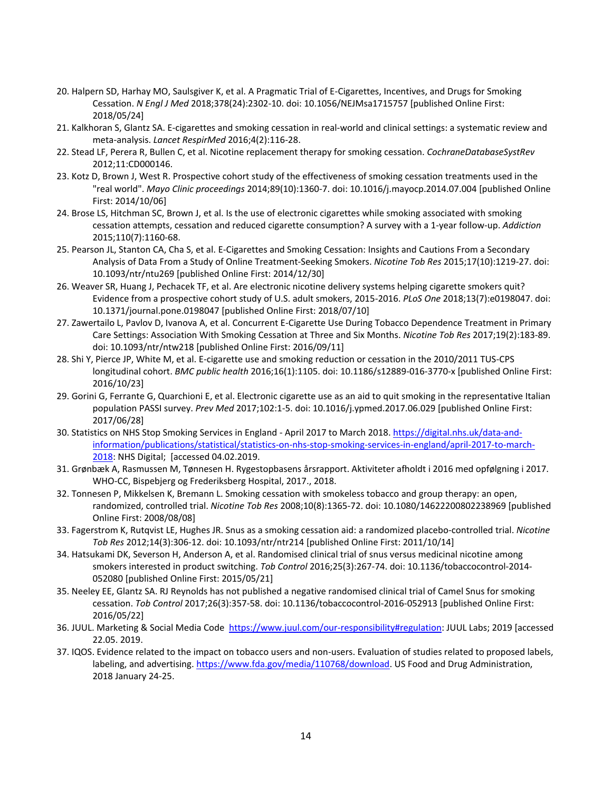- 20. Halpern SD, Harhay MO, Saulsgiver K, et al. A Pragmatic Trial of E-Cigarettes, Incentives, and Drugs for Smoking Cessation. *N Engl J Med* 2018;378(24):2302-10. doi: 10.1056/NEJMsa1715757 [published Online First: 2018/05/24]
- 21. Kalkhoran S, Glantz SA. E-cigarettes and smoking cessation in real-world and clinical settings: a systematic review and meta-analysis. *Lancet RespirMed* 2016;4(2):116-28.
- 22. Stead LF, Perera R, Bullen C, et al. Nicotine replacement therapy for smoking cessation. *CochraneDatabaseSystRev* 2012;11:CD000146.
- 23. Kotz D, Brown J, West R. Prospective cohort study of the effectiveness of smoking cessation treatments used in the "real world". *Mayo Clinic proceedings* 2014;89(10):1360-7. doi: 10.1016/j.mayocp.2014.07.004 [published Online First: 2014/10/06]
- 24. Brose LS, Hitchman SC, Brown J, et al. Is the use of electronic cigarettes while smoking associated with smoking cessation attempts, cessation and reduced cigarette consumption? A survey with a 1-year follow-up. *Addiction* 2015;110(7):1160-68.
- 25. Pearson JL, Stanton CA, Cha S, et al. E-Cigarettes and Smoking Cessation: Insights and Cautions From a Secondary Analysis of Data From a Study of Online Treatment-Seeking Smokers. *Nicotine Tob Res* 2015;17(10):1219-27. doi: 10.1093/ntr/ntu269 [published Online First: 2014/12/30]
- 26. Weaver SR, Huang J, Pechacek TF, et al. Are electronic nicotine delivery systems helping cigarette smokers quit? Evidence from a prospective cohort study of U.S. adult smokers, 2015-2016. *PLoS One* 2018;13(7):e0198047. doi: 10.1371/journal.pone.0198047 [published Online First: 2018/07/10]
- 27. Zawertailo L, Pavlov D, Ivanova A, et al. Concurrent E-Cigarette Use During Tobacco Dependence Treatment in Primary Care Settings: Association With Smoking Cessation at Three and Six Months. *Nicotine Tob Res* 2017;19(2):183-89. doi: 10.1093/ntr/ntw218 [published Online First: 2016/09/11]
- 28. Shi Y, Pierce JP, White M, et al. E-cigarette use and smoking reduction or cessation in the 2010/2011 TUS-CPS longitudinal cohort. *BMC public health* 2016;16(1):1105. doi: 10.1186/s12889-016-3770-x [published Online First: 2016/10/23]
- 29. Gorini G, Ferrante G, Quarchioni E, et al. Electronic cigarette use as an aid to quit smoking in the representative Italian population PASSI survey. *Prev Med* 2017;102:1-5. doi: 10.1016/j.ypmed.2017.06.029 [published Online First: 2017/06/28]
- 30. Statistics on NHS Stop Smoking Services in England April 2017 to March 2018[. https://digital.nhs.uk/data-and](https://digital.nhs.uk/data-and-information/publications/statistical/statistics-on-nhs-stop-smoking-services-in-england/april-2017-to-march-2018)[information/publications/statistical/statistics-on-nhs-stop-smoking-services-in-england/april-2017-to-march-](https://digital.nhs.uk/data-and-information/publications/statistical/statistics-on-nhs-stop-smoking-services-in-england/april-2017-to-march-2018)[2018:](https://digital.nhs.uk/data-and-information/publications/statistical/statistics-on-nhs-stop-smoking-services-in-england/april-2017-to-march-2018) NHS Digital; [accessed 04.02.2019.
- 31. Grønbæk A, Rasmussen M, Tønnesen H. Rygestopbasens årsrapport. Aktiviteter afholdt i 2016 med opfølgning i 2017. WHO-CC, Bispebjerg og Frederiksberg Hospital, 2017., 2018.
- 32. Tonnesen P, Mikkelsen K, Bremann L. Smoking cessation with smokeless tobacco and group therapy: an open, randomized, controlled trial. *Nicotine Tob Res* 2008;10(8):1365-72. doi: 10.1080/14622200802238969 [published Online First: 2008/08/08]
- 33. Fagerstrom K, Rutqvist LE, Hughes JR. Snus as a smoking cessation aid: a randomized placebo-controlled trial. *Nicotine Tob Res* 2012;14(3):306-12. doi: 10.1093/ntr/ntr214 [published Online First: 2011/10/14]
- 34. Hatsukami DK, Severson H, Anderson A, et al. Randomised clinical trial of snus versus medicinal nicotine among smokers interested in product switching. *Tob Control* 2016;25(3):267-74. doi: 10.1136/tobaccocontrol-2014- 052080 [published Online First: 2015/05/21]
- 35. Neeley EE, Glantz SA. RJ Reynolds has not published a negative randomised clinical trial of Camel Snus for smoking cessation. *Tob Control* 2017;26(3):357-58. doi: 10.1136/tobaccocontrol-2016-052913 [published Online First: 2016/05/22]
- 36. JUUL. Marketing & Social Media Code [https://www.juul.com/our-responsibility#regulation:](https://www.juul.com/our-responsibility#regulation) JUUL Labs; 2019 [accessed 22.05. 2019.
- 37. IQOS. Evidence related to the impact on tobacco users and non-users. Evaluation of studies related to proposed labels, labeling, and advertising[. https://www.fda.gov/media/110768/download.](https://www.fda.gov/media/110768/download) US Food and Drug Administration, 2018 January 24-25.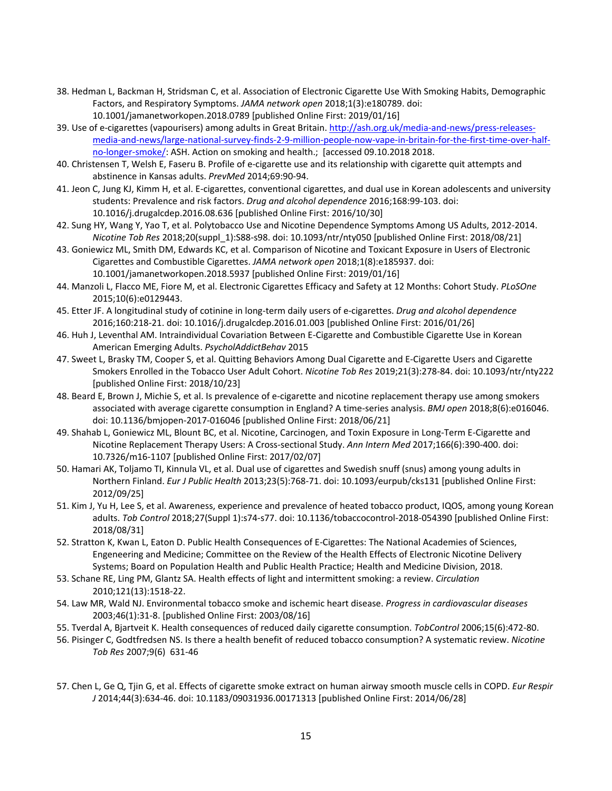- 38. Hedman L, Backman H, Stridsman C, et al. Association of Electronic Cigarette Use With Smoking Habits, Demographic Factors, and Respiratory Symptoms. *JAMA network open* 2018;1(3):e180789. doi: 10.1001/jamanetworkopen.2018.0789 [published Online First: 2019/01/16]
- 39. Use of e-cigarettes (vapourisers) among adults in Great Britain[. http://ash.org.uk/media-and-news/press-releases](http://ash.org.uk/media-and-news/press-releases-media-and-news/large-national-survey-finds-2-9-million-people-now-vape-in-britain-for-the-first-time-over-half-no-longer-smoke/)[media-and-news/large-national-survey-finds-2-9-million-people-now-vape-in-britain-for-the-first-time-over-half](http://ash.org.uk/media-and-news/press-releases-media-and-news/large-national-survey-finds-2-9-million-people-now-vape-in-britain-for-the-first-time-over-half-no-longer-smoke/)[no-longer-smoke/:](http://ash.org.uk/media-and-news/press-releases-media-and-news/large-national-survey-finds-2-9-million-people-now-vape-in-britain-for-the-first-time-over-half-no-longer-smoke/) ASH. Action on smoking and health.; [accessed 09.10.2018 2018.
- 40. Christensen T, Welsh E, Faseru B. Profile of e-cigarette use and its relationship with cigarette quit attempts and abstinence in Kansas adults. *PrevMed* 2014;69:90-94.
- 41. Jeon C, Jung KJ, Kimm H, et al. E-cigarettes, conventional cigarettes, and dual use in Korean adolescents and university students: Prevalence and risk factors. *Drug and alcohol dependence* 2016;168:99-103. doi: 10.1016/j.drugalcdep.2016.08.636 [published Online First: 2016/10/30]
- 42. Sung HY, Wang Y, Yao T, et al. Polytobacco Use and Nicotine Dependence Symptoms Among US Adults, 2012-2014. *Nicotine Tob Res* 2018;20(suppl\_1):S88-s98. doi: 10.1093/ntr/nty050 [published Online First: 2018/08/21]
- 43. Goniewicz ML, Smith DM, Edwards KC, et al. Comparison of Nicotine and Toxicant Exposure in Users of Electronic Cigarettes and Combustible Cigarettes. *JAMA network open* 2018;1(8):e185937. doi: 10.1001/jamanetworkopen.2018.5937 [published Online First: 2019/01/16]
- 44. Manzoli L, Flacco ME, Fiore M, et al. Electronic Cigarettes Efficacy and Safety at 12 Months: Cohort Study. *PLoSOne* 2015;10(6):e0129443.
- 45. Etter JF. A longitudinal study of cotinine in long-term daily users of e-cigarettes. *Drug and alcohol dependence* 2016;160:218-21. doi: 10.1016/j.drugalcdep.2016.01.003 [published Online First: 2016/01/26]
- 46. Huh J, Leventhal AM. Intraindividual Covariation Between E-Cigarette and Combustible Cigarette Use in Korean American Emerging Adults. *PsycholAddictBehav* 2015
- 47. Sweet L, Brasky TM, Cooper S, et al. Quitting Behaviors Among Dual Cigarette and E-Cigarette Users and Cigarette Smokers Enrolled in the Tobacco User Adult Cohort. *Nicotine Tob Res* 2019;21(3):278-84. doi: 10.1093/ntr/nty222 [published Online First: 2018/10/23]
- 48. Beard E, Brown J, Michie S, et al. Is prevalence of e-cigarette and nicotine replacement therapy use among smokers associated with average cigarette consumption in England? A time-series analysis. *BMJ open* 2018;8(6):e016046. doi: 10.1136/bmjopen-2017-016046 [published Online First: 2018/06/21]
- 49. Shahab L, Goniewicz ML, Blount BC, et al. Nicotine, Carcinogen, and Toxin Exposure in Long-Term E-Cigarette and Nicotine Replacement Therapy Users: A Cross-sectional Study. *Ann Intern Med* 2017;166(6):390-400. doi: 10.7326/m16-1107 [published Online First: 2017/02/07]
- 50. Hamari AK, Toljamo TI, Kinnula VL, et al. Dual use of cigarettes and Swedish snuff (snus) among young adults in Northern Finland. *Eur J Public Health* 2013;23(5):768-71. doi: 10.1093/eurpub/cks131 [published Online First: 2012/09/25]
- 51. Kim J, Yu H, Lee S, et al. Awareness, experience and prevalence of heated tobacco product, IQOS, among young Korean adults. *Tob Control* 2018;27(Suppl 1):s74-s77. doi: 10.1136/tobaccocontrol-2018-054390 [published Online First: 2018/08/31]
- 52. Stratton K, Kwan L, Eaton D. Public Health Consequences of E-Cigarettes: The National Academies of Sciences, Engeneering and Medicine; Committee on the Review of the Health Effects of Electronic Nicotine Delivery Systems; Board on Population Health and Public Health Practice; Health and Medicine Division, 2018.
- 53. Schane RE, Ling PM, Glantz SA. Health effects of light and intermittent smoking: a review. *Circulation* 2010;121(13):1518-22.
- 54. Law MR, Wald NJ. Environmental tobacco smoke and ischemic heart disease. *Progress in cardiovascular diseases* 2003;46(1):31-8. [published Online First: 2003/08/16]
- 55. Tverdal A, Bjartveit K. Health consequences of reduced daily cigarette consumption. *TobControl* 2006;15(6):472-80.
- 56. Pisinger C, Godtfredsen NS. Is there a health benefit of reduced tobacco consumption? A systematic review. *Nicotine Tob Res* 2007;9(6) 631-46
- 57. Chen L, Ge Q, Tjin G, et al. Effects of cigarette smoke extract on human airway smooth muscle cells in COPD. *Eur Respir J* 2014;44(3):634-46. doi: 10.1183/09031936.00171313 [published Online First: 2014/06/28]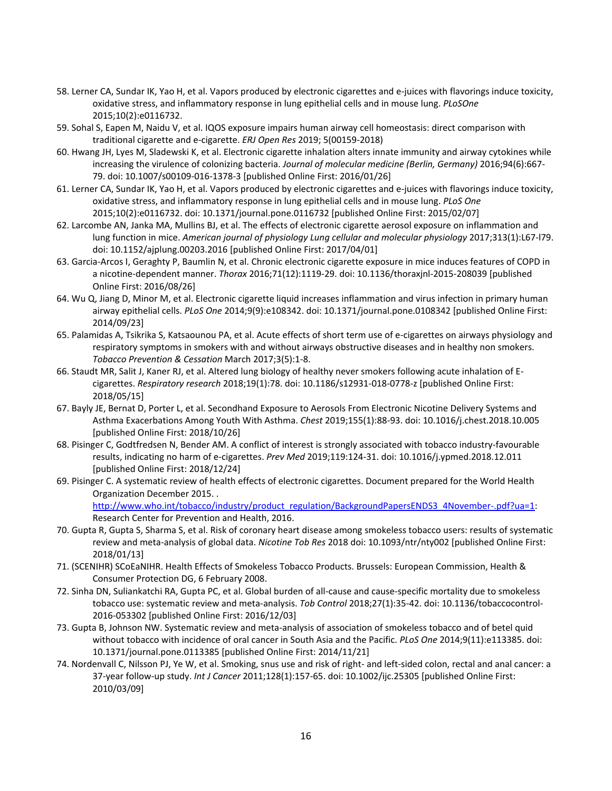- 58. Lerner CA, Sundar IK, Yao H, et al. Vapors produced by electronic cigarettes and e-juices with flavorings induce toxicity, oxidative stress, and inflammatory response in lung epithelial cells and in mouse lung. *PLoSOne* 2015;10(2):e0116732.
- 59. Sohal S, Eapen M, Naidu V, et al. IQOS exposure impairs human airway cell homeostasis: direct comparison with traditional cigarette and e-cigarette. *ERJ Open Res* 2019; 5(00159-2018)
- 60. Hwang JH, Lyes M, Sladewski K, et al. Electronic cigarette inhalation alters innate immunity and airway cytokines while increasing the virulence of colonizing bacteria. *Journal of molecular medicine (Berlin, Germany)* 2016;94(6):667- 79. doi: 10.1007/s00109-016-1378-3 [published Online First: 2016/01/26]
- 61. Lerner CA, Sundar IK, Yao H, et al. Vapors produced by electronic cigarettes and e-juices with flavorings induce toxicity, oxidative stress, and inflammatory response in lung epithelial cells and in mouse lung. *PLoS One* 2015;10(2):e0116732. doi: 10.1371/journal.pone.0116732 [published Online First: 2015/02/07]
- 62. Larcombe AN, Janka MA, Mullins BJ, et al. The effects of electronic cigarette aerosol exposure on inflammation and lung function in mice. *American journal of physiology Lung cellular and molecular physiology* 2017;313(1):L67-l79. doi: 10.1152/ajplung.00203.2016 [published Online First: 2017/04/01]
- 63. Garcia-Arcos I, Geraghty P, Baumlin N, et al. Chronic electronic cigarette exposure in mice induces features of COPD in a nicotine-dependent manner. *Thorax* 2016;71(12):1119-29. doi: 10.1136/thoraxjnl-2015-208039 [published Online First: 2016/08/26]
- 64. Wu Q, Jiang D, Minor M, et al. Electronic cigarette liquid increases inflammation and virus infection in primary human airway epithelial cells. *PLoS One* 2014;9(9):e108342. doi: 10.1371/journal.pone.0108342 [published Online First: 2014/09/23]
- 65. Palamidas A, Tsikrika S, Katsaounou PA, et al. Acute effects of short term use of e-cigarettes on airways physiology and respiratory symptoms in smokers with and without airways obstructive diseases and in healthy non smokers. *Tobacco Prevention & Cessation* March 2017;3(5):1-8.
- 66. Staudt MR, Salit J, Kaner RJ, et al. Altered lung biology of healthy never smokers following acute inhalation of Ecigarettes. *Respiratory research* 2018;19(1):78. doi: 10.1186/s12931-018-0778-z [published Online First: 2018/05/15]
- 67. Bayly JE, Bernat D, Porter L, et al. Secondhand Exposure to Aerosols From Electronic Nicotine Delivery Systems and Asthma Exacerbations Among Youth With Asthma. *Chest* 2019;155(1):88-93. doi: 10.1016/j.chest.2018.10.005 [published Online First: 2018/10/26]
- 68. Pisinger C, Godtfredsen N, Bender AM. A conflict of interest is strongly associated with tobacco industry-favourable results, indicating no harm of e-cigarettes. *Prev Med* 2019;119:124-31. doi: 10.1016/j.ypmed.2018.12.011 [published Online First: 2018/12/24]
- 69. Pisinger C. A systematic review of health effects of electronic cigarettes. Document prepared for the World Health Organization December 2015. .

[http://www.who.int/tobacco/industry/product\\_regulation/BackgroundPapersENDS3\\_4November-.pdf?ua=1:](http://www.who.int/tobacco/industry/product_regulation/BackgroundPapersENDS3_4November-.pdf?ua=1) Research Center for Prevention and Health, 2016.

- 70. Gupta R, Gupta S, Sharma S, et al. Risk of coronary heart disease among smokeless tobacco users: results of systematic review and meta-analysis of global data. *Nicotine Tob Res* 2018 doi: 10.1093/ntr/nty002 [published Online First: 2018/01/13]
- 71. (SCENIHR) SCoEaNIHR. Health Effects of Smokeless Tobacco Products. Brussels: European Commission, Health & Consumer Protection DG, 6 February 2008.
- 72. Sinha DN, Suliankatchi RA, Gupta PC, et al. Global burden of all-cause and cause-specific mortality due to smokeless tobacco use: systematic review and meta-analysis. *Tob Control* 2018;27(1):35-42. doi: 10.1136/tobaccocontrol-2016-053302 [published Online First: 2016/12/03]
- 73. Gupta B, Johnson NW. Systematic review and meta-analysis of association of smokeless tobacco and of betel quid without tobacco with incidence of oral cancer in South Asia and the Pacific. *PLoS One* 2014;9(11):e113385. doi: 10.1371/journal.pone.0113385 [published Online First: 2014/11/21]
- 74. Nordenvall C, Nilsson PJ, Ye W, et al. Smoking, snus use and risk of right- and left-sided colon, rectal and anal cancer: a 37-year follow-up study. *Int J Cancer* 2011;128(1):157-65. doi: 10.1002/ijc.25305 [published Online First: 2010/03/09]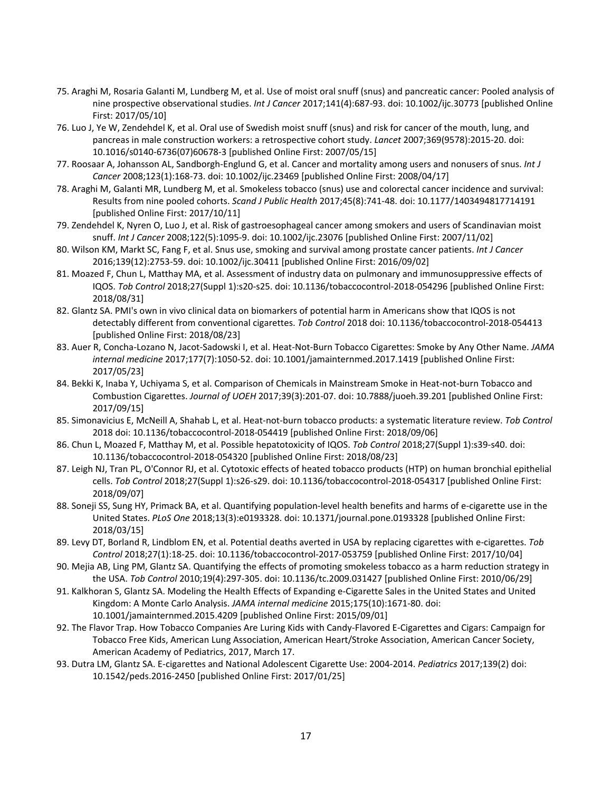- 75. Araghi M, Rosaria Galanti M, Lundberg M, et al. Use of moist oral snuff (snus) and pancreatic cancer: Pooled analysis of nine prospective observational studies. *Int J Cancer* 2017;141(4):687-93. doi: 10.1002/ijc.30773 [published Online First: 2017/05/10]
- 76. Luo J, Ye W, Zendehdel K, et al. Oral use of Swedish moist snuff (snus) and risk for cancer of the mouth, lung, and pancreas in male construction workers: a retrospective cohort study. *Lancet* 2007;369(9578):2015-20. doi: 10.1016/s0140-6736(07)60678-3 [published Online First: 2007/05/15]
- 77. Roosaar A, Johansson AL, Sandborgh-Englund G, et al. Cancer and mortality among users and nonusers of snus. *Int J Cancer* 2008;123(1):168-73. doi: 10.1002/ijc.23469 [published Online First: 2008/04/17]
- 78. Araghi M, Galanti MR, Lundberg M, et al. Smokeless tobacco (snus) use and colorectal cancer incidence and survival: Results from nine pooled cohorts. *Scand J Public Health* 2017;45(8):741-48. doi: 10.1177/1403494817714191 [published Online First: 2017/10/11]
- 79. Zendehdel K, Nyren O, Luo J, et al. Risk of gastroesophageal cancer among smokers and users of Scandinavian moist snuff. *Int J Cancer* 2008;122(5):1095-9. doi: 10.1002/ijc.23076 [published Online First: 2007/11/02]
- 80. Wilson KM, Markt SC, Fang F, et al. Snus use, smoking and survival among prostate cancer patients. *Int J Cancer* 2016;139(12):2753-59. doi: 10.1002/ijc.30411 [published Online First: 2016/09/02]
- 81. Moazed F, Chun L, Matthay MA, et al. Assessment of industry data on pulmonary and immunosuppressive effects of IQOS. *Tob Control* 2018;27(Suppl 1):s20-s25. doi: 10.1136/tobaccocontrol-2018-054296 [published Online First: 2018/08/31]
- 82. Glantz SA. PMI's own in vivo clinical data on biomarkers of potential harm in Americans show that IQOS is not detectably different from conventional cigarettes. *Tob Control* 2018 doi: 10.1136/tobaccocontrol-2018-054413 [published Online First: 2018/08/23]
- 83. Auer R, Concha-Lozano N, Jacot-Sadowski I, et al. Heat-Not-Burn Tobacco Cigarettes: Smoke by Any Other Name. *JAMA internal medicine* 2017;177(7):1050-52. doi: 10.1001/jamainternmed.2017.1419 [published Online First: 2017/05/23]
- 84. Bekki K, Inaba Y, Uchiyama S, et al. Comparison of Chemicals in Mainstream Smoke in Heat-not-burn Tobacco and Combustion Cigarettes. *Journal of UOEH* 2017;39(3):201-07. doi: 10.7888/juoeh.39.201 [published Online First: 2017/09/15]
- 85. Simonavicius E, McNeill A, Shahab L, et al. Heat-not-burn tobacco products: a systematic literature review. *Tob Control* 2018 doi: 10.1136/tobaccocontrol-2018-054419 [published Online First: 2018/09/06]
- 86. Chun L, Moazed F, Matthay M, et al. Possible hepatotoxicity of IQOS. *Tob Control* 2018;27(Suppl 1):s39-s40. doi: 10.1136/tobaccocontrol-2018-054320 [published Online First: 2018/08/23]
- 87. Leigh NJ, Tran PL, O'Connor RJ, et al. Cytotoxic effects of heated tobacco products (HTP) on human bronchial epithelial cells. *Tob Control* 2018;27(Suppl 1):s26-s29. doi: 10.1136/tobaccocontrol-2018-054317 [published Online First: 2018/09/07]
- 88. Soneji SS, Sung HY, Primack BA, et al. Quantifying population-level health benefits and harms of e-cigarette use in the United States. *PLoS One* 2018;13(3):e0193328. doi: 10.1371/journal.pone.0193328 [published Online First: 2018/03/15]
- 89. Levy DT, Borland R, Lindblom EN, et al. Potential deaths averted in USA by replacing cigarettes with e-cigarettes. *Tob Control* 2018;27(1):18-25. doi: 10.1136/tobaccocontrol-2017-053759 [published Online First: 2017/10/04]
- 90. Mejia AB, Ling PM, Glantz SA. Quantifying the effects of promoting smokeless tobacco as a harm reduction strategy in the USA. *Tob Control* 2010;19(4):297-305. doi: 10.1136/tc.2009.031427 [published Online First: 2010/06/29]
- 91. Kalkhoran S, Glantz SA. Modeling the Health Effects of Expanding e-Cigarette Sales in the United States and United Kingdom: A Monte Carlo Analysis. *JAMA internal medicine* 2015;175(10):1671-80. doi: 10.1001/jamainternmed.2015.4209 [published Online First: 2015/09/01]
- 92. The Flavor Trap. How Tobacco Companies Are Luring Kids with Candy-Flavored E-Cigarettes and Cigars: Campaign for Tobacco Free Kids, American Lung Association, American Heart/Stroke Association, American Cancer Society, American Academy of Pediatrics, 2017, March 17.
- 93. Dutra LM, Glantz SA. E-cigarettes and National Adolescent Cigarette Use: 2004-2014. *Pediatrics* 2017;139(2) doi: 10.1542/peds.2016-2450 [published Online First: 2017/01/25]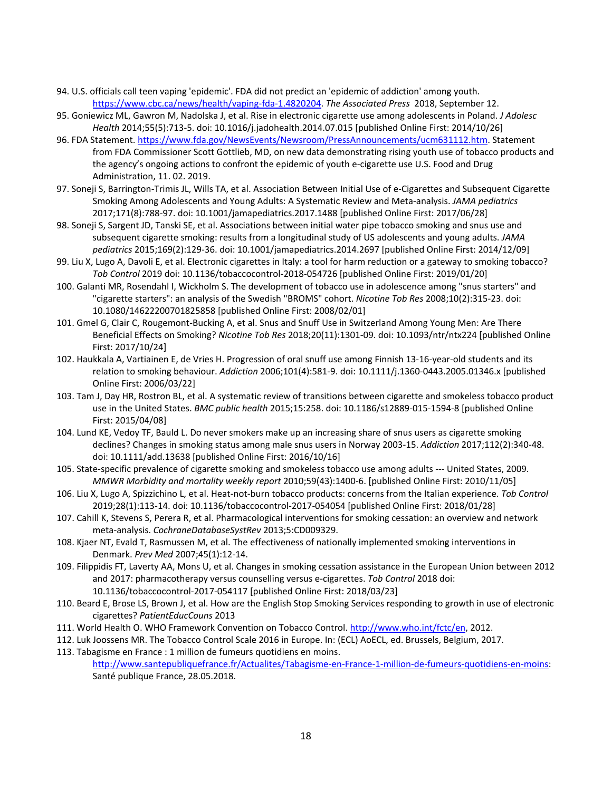- 94. U.S. officials call teen vaping 'epidemic'. FDA did not predict an 'epidemic of addiction' among youth. [https://www.cbc.ca/news/health/vaping-fda-1.4820204.](https://www.cbc.ca/news/health/vaping-fda-1.4820204) *The Associated Press* 2018, September 12.
- 95. Goniewicz ML, Gawron M, Nadolska J, et al. Rise in electronic cigarette use among adolescents in Poland. *J Adolesc Health* 2014;55(5):713-5. doi: 10.1016/j.jadohealth.2014.07.015 [published Online First: 2014/10/26]
- 96. FDA Statement. [https://www.fda.gov/NewsEvents/Newsroom/PressAnnouncements/ucm631112.htm.](https://www.fda.gov/NewsEvents/Newsroom/PressAnnouncements/ucm631112.htm) Statement from FDA Commissioner Scott Gottlieb, MD, on new data demonstrating rising youth use of tobacco products and the agency's ongoing actions to confront the epidemic of youth e-cigarette use U.S. Food and Drug Administration, 11. 02. 2019.
- 97. Soneji S, Barrington-Trimis JL, Wills TA, et al. Association Between Initial Use of e-Cigarettes and Subsequent Cigarette Smoking Among Adolescents and Young Adults: A Systematic Review and Meta-analysis. *JAMA pediatrics* 2017;171(8):788-97. doi: 10.1001/jamapediatrics.2017.1488 [published Online First: 2017/06/28]
- 98. Soneji S, Sargent JD, Tanski SE, et al. Associations between initial water pipe tobacco smoking and snus use and subsequent cigarette smoking: results from a longitudinal study of US adolescents and young adults. *JAMA pediatrics* 2015;169(2):129-36. doi: 10.1001/jamapediatrics.2014.2697 [published Online First: 2014/12/09]
- 99. Liu X, Lugo A, Davoli E, et al. Electronic cigarettes in Italy: a tool for harm reduction or a gateway to smoking tobacco? *Tob Control* 2019 doi: 10.1136/tobaccocontrol-2018-054726 [published Online First: 2019/01/20]
- 100. Galanti MR, Rosendahl I, Wickholm S. The development of tobacco use in adolescence among "snus starters" and "cigarette starters": an analysis of the Swedish "BROMS" cohort. *Nicotine Tob Res* 2008;10(2):315-23. doi: 10.1080/14622200701825858 [published Online First: 2008/02/01]
- 101. Gmel G, Clair C, Rougemont-Bucking A, et al. Snus and Snuff Use in Switzerland Among Young Men: Are There Beneficial Effects on Smoking? *Nicotine Tob Res* 2018;20(11):1301-09. doi: 10.1093/ntr/ntx224 [published Online First: 2017/10/24]
- 102. Haukkala A, Vartiainen E, de Vries H. Progression of oral snuff use among Finnish 13-16-year-old students and its relation to smoking behaviour. *Addiction* 2006;101(4):581-9. doi: 10.1111/j.1360-0443.2005.01346.x [published Online First: 2006/03/22]
- 103. Tam J, Day HR, Rostron BL, et al. A systematic review of transitions between cigarette and smokeless tobacco product use in the United States. *BMC public health* 2015;15:258. doi: 10.1186/s12889-015-1594-8 [published Online First: 2015/04/08]
- 104. Lund KE, Vedoy TF, Bauld L. Do never smokers make up an increasing share of snus users as cigarette smoking declines? Changes in smoking status among male snus users in Norway 2003-15. *Addiction* 2017;112(2):340-48. doi: 10.1111/add.13638 [published Online First: 2016/10/16]
- 105. State-specific prevalence of cigarette smoking and smokeless tobacco use among adults --- United States, 2009. *MMWR Morbidity and mortality weekly report* 2010;59(43):1400-6. [published Online First: 2010/11/05]
- 106. Liu X, Lugo A, Spizzichino L, et al. Heat-not-burn tobacco products: concerns from the Italian experience. *Tob Control* 2019;28(1):113-14. doi: 10.1136/tobaccocontrol-2017-054054 [published Online First: 2018/01/28]
- 107. Cahill K, Stevens S, Perera R, et al. Pharmacological interventions for smoking cessation: an overview and network meta-analysis. *CochraneDatabaseSystRev* 2013;5:CD009329.
- 108. Kjaer NT, Evald T, Rasmussen M, et al. The effectiveness of nationally implemented smoking interventions in Denmark. *Prev Med* 2007;45(1):12-14.
- 109. Filippidis FT, Laverty AA, Mons U, et al. Changes in smoking cessation assistance in the European Union between 2012 and 2017: pharmacotherapy versus counselling versus e-cigarettes. *Tob Control* 2018 doi: 10.1136/tobaccocontrol-2017-054117 [published Online First: 2018/03/23]
- 110. Beard E, Brose LS, Brown J, et al. How are the English Stop Smoking Services responding to growth in use of electronic cigarettes? *PatientEducCouns* 2013
- 111. World Health O. WHO Framework Convention on Tobacco Control[. http://www.who.int/fctc/en,](http://www.who.int/fctc/en) 2012.
- 112. Luk Joossens MR. The Tobacco Control Scale 2016 in Europe. In: (ECL) AoECL, ed. Brussels, Belgium, 2017.
- 113. Tabagisme en France : 1 million de fumeurs quotidiens en moins. [http://www.santepubliquefrance.fr/Actualites/Tabagisme-en-France-1-million-de-fumeurs-quotidiens-en-moins:](http://www.santepubliquefrance.fr/Actualites/Tabagisme-en-France-1-million-de-fumeurs-quotidiens-en-moins) Santé publique France, 28.05.2018.